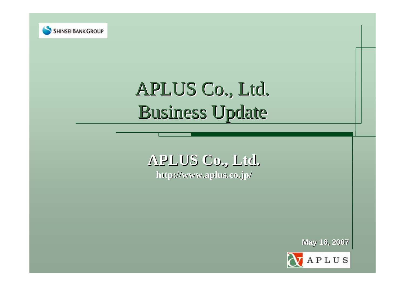

# APLUS Co., Ltd. Business Update

# **APLUS Co APLUS Co., Ltd. http://www.aplus.co.jp/ http://www.aplus.co.jp/**

**May 16, 2007 May 16, 2007**

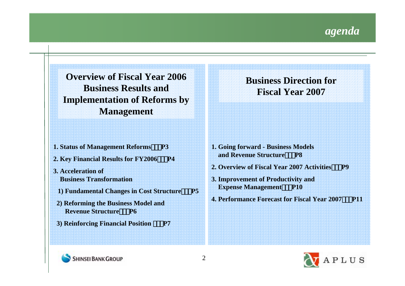

**Overview of Fiscal Year 2006 Business Results and Implementation of Reforms by Management**

- **1. Status of Management Reforms P3**
- **2. Key Financial Results for FY2006 P4**
- **3. Acceleration ofBusiness Transformation**
	- **1) Fundamental Changes in Cost Structure P5**
- **2) Reforming the Business Model and Revenue Structure P6**
- **3) Reinforcing Financial Position P7**

**Business Direction for Fiscal Year 2007**

- **1. Going forward - Business Models and Revenue Structure P8**
- **2. Overview of Fiscal Year 2007 Activities P9**
- **3. Improvement of Productivity and Expense Management** P10
- **4. Performance Forecast for Fiscal Year 2007 P11**



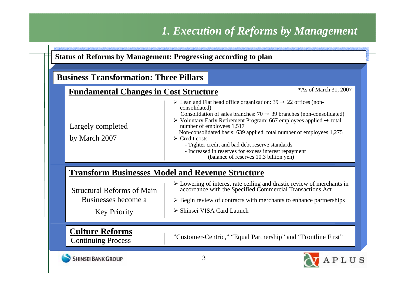# *1. Execution of Reforms by Management*

| <b>Business Transformation: Three Pillars</b>                                   |                                                                                                                                                                                                                                                                                                                                                                                                                                                                                                                                                              |
|---------------------------------------------------------------------------------|--------------------------------------------------------------------------------------------------------------------------------------------------------------------------------------------------------------------------------------------------------------------------------------------------------------------------------------------------------------------------------------------------------------------------------------------------------------------------------------------------------------------------------------------------------------|
| <b>Fundamental Changes in Cost Structure</b>                                    | *As of March 31, 2007                                                                                                                                                                                                                                                                                                                                                                                                                                                                                                                                        |
| Largely completed<br>by March 2007                                              | 22 offices (non-<br>$\triangleright$ Lean and Flat head office organization: 39<br>consolidated)<br>Consolidation of sales branches: 70<br>39 branches (non-consolidated)<br>$\triangleright$ Voluntary Early Retirement Program: 667 employees applied<br>total<br>number of employees 1,517<br>Non-consolidated basis: 639 applied, total number of employees 1,275<br>$\triangleright$ Credit costs<br>- Tighter credit and bad debt reserve standards<br>- Increased in reserves for excess interest repayment<br>(balance of reserves 10.3 billion yen) |
|                                                                                 | <b>Transform Businesses Model and Revenue Structure</b>                                                                                                                                                                                                                                                                                                                                                                                                                                                                                                      |
| <b>Structural Reforms of Main</b><br>Businesses become a<br><b>Key Priority</b> | $\triangleright$ Lowering of interest rate ceiling and drastic review of merchants in<br>accordance with the Specified Commercial Transactions Act<br>$\triangleright$ Begin review of contracts with merchants to enhance partnerships<br>Shinsei VISA Card Launch                                                                                                                                                                                                                                                                                          |
| <b>Culture Reforms</b><br><b>Continuing Process</b>                             | "Customer-Centric," "Equal Partnership" and "Frontline First"                                                                                                                                                                                                                                                                                                                                                                                                                                                                                                |

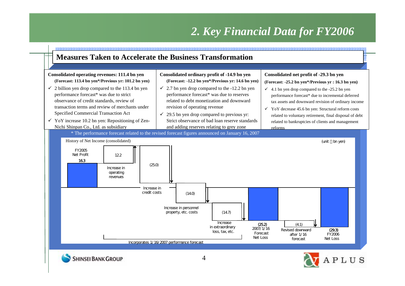# *2. Key Financial Data for FY2006*

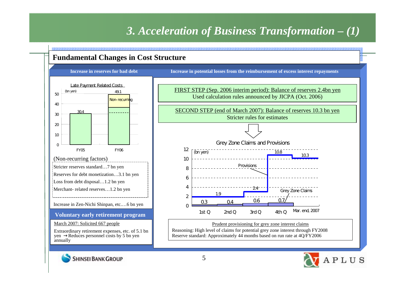# *3. Acceleration of Business Transformation – (1)*

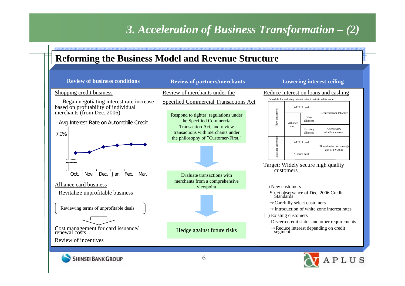# *3. Acceleration of Business Transformation – (2)*

## **Reforming the Business Model and Revenue Structure**

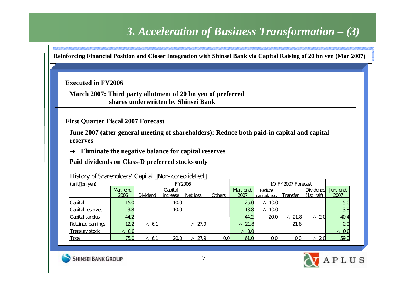# *3. Acceleration of Business Transformation – (3)*

Reinforcing Financial Position and Closer Integration with Shinsei Bank via Capital Raising of 20 bn yen (Mar 2007)

**Executed in FY2006**

**70**億円**shares underwritten by Shinsei Bank March 2007: Third party allotment of 20 bn yen of preferred** 

**First Quarter Fiscal 2007 Forecast**

**June 2007 (after general meeting of shareholders): Reduce both paid-in capital and capital reserves**

**Eliminate the negative balance for capital reserves**

**Paid dividends on Class-D preferred stocks only**

| (unit bn yen)         |                | FY2006   |          |          | 1Q FY2007 Forecast |                |               |          |                  |                |
|-----------------------|----------------|----------|----------|----------|--------------------|----------------|---------------|----------|------------------|----------------|
|                       | Mar. end,      |          | Capital  |          |                    | Mar. end,      | Reduce        |          | <b>Dividends</b> | Jun end        |
|                       | 2006           | Dividend | increase | Net loss | <b>Others</b>      | 2007           | capital, etc. | Transfer | $(1st)$ half     | 2007           |
| Capital               | 15.0           |          | 100      |          |                    | 250            | 100           |          |                  | 15.0           |
| Capital reserves      | 38             |          | 100      |          |                    | 138            | 10.0          |          |                  | 38             |
| Capital surplus       | 44.2           |          |          |          |                    | 44.2           | 20.0          | 21.8     | 20               | 40.4           |
| Retained earnings     | 122            | 61       |          | 27.9     |                    | 21.8           |               | 21.8     |                  | $\overline{a}$ |
| <b>Treasury stock</b> | 0 <sub>0</sub> |          |          |          |                    | 0 <sub>0</sub> |               |          |                  | 0 <sub>0</sub> |
| Total                 | 750            | 6        | 200      | 27.9     | αd                 | 61.0           | 00            | QΟ       | 2 <sub>0</sub>   | 59.0           |

History of Shareholders' Capital (Non-consolidated)



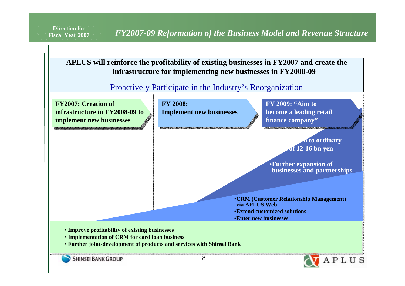*Fiscal Year 2007 PHY2007-09 Reformation of the Business Model and Revenue Structure* 

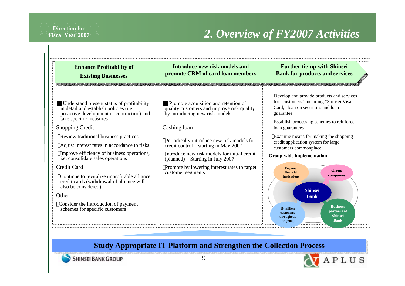#### **Direction for Fiscal Year 2007**

# *2. Overview of FY2007 Activities*

| <b>Enhance Profitability of</b><br><b>Existing Businesses</b>                                                                                                                                                                                                                                                                                                      | Introduce new risk models and<br>promote CRM of card loan members                                                                                                                                                                                                                                                | <b>Further tie-up with Shinsei</b><br><b>Bank for products and services</b>                                                                                                                                                                                                                                                                          |  |  |
|--------------------------------------------------------------------------------------------------------------------------------------------------------------------------------------------------------------------------------------------------------------------------------------------------------------------------------------------------------------------|------------------------------------------------------------------------------------------------------------------------------------------------------------------------------------------------------------------------------------------------------------------------------------------------------------------|------------------------------------------------------------------------------------------------------------------------------------------------------------------------------------------------------------------------------------------------------------------------------------------------------------------------------------------------------|--|--|
| Understand present status of profitability<br>in detail and establish policies (i.e.,<br>proactive development or contraction) and<br>take specific measures<br><b>Shopping Credit</b><br>Review traditional business practices<br>Adjust interest rates in accordance to risks<br>Improve efficiency of business operations,<br>i.e. consolidate sales operations | Promote acquisition and retention of<br>quality customers and improve risk quality<br>by introducing new risk models<br>Cashing loan<br>Periodically introduce new risk models for<br>credit control – starting in May 2007<br>Introduce new risk models for initial credit<br>(planned) – Starting in July 2007 | Develop and provide products and services<br>for "customers" including "Shinsei Visa<br>Card," loan on securities and loan<br>guarantee<br>Establish processing schemes to reinforce<br>loan guarantees<br>Examine means for making the shopping<br>credit application system for large<br>customers commonplace<br><b>Group-wide implementation</b> |  |  |
| Credit Card<br>Continue to revitalize unprofitable alliance<br>credit cards (withdrawal of alliance will<br>also be considered)<br>Other<br>Consider the introduction of payment<br>schemes for specific customers                                                                                                                                                 | Promote by lowering interest rates to target<br>customer segments                                                                                                                                                                                                                                                | Regional<br>Group<br>financial<br>companies<br><b>institutions</b><br><b>Shinsei</b><br><b>Bank</b><br><b>Business</b><br>10 million<br>partners of<br>customers<br><b>Shinsei</b><br>throughout<br><b>Bank</b><br>the group                                                                                                                         |  |  |

### **Study Appropriate IT Platform and Strengthen the Collection Process**



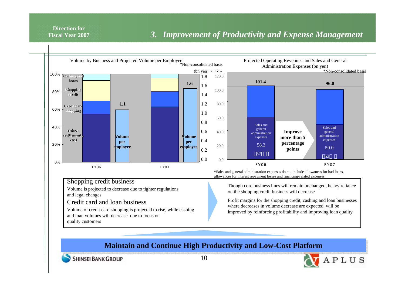**Direction forFiscal Year 2007**

### *3. Improvement of Productivity and Expense Management*



**SHINSEI BANK GROUP**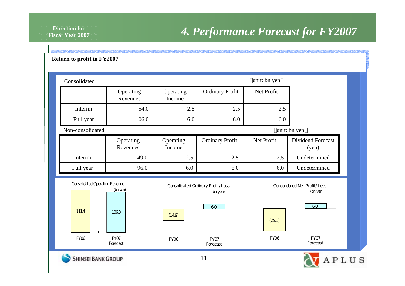## *4. Performance Forecast for FY2007*

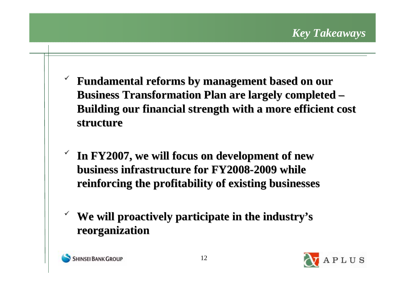- $\checkmark$  **Fundamental reforms by management based on our Fundamental reforms by management based on our Business Transformation Plan are largely completed – Building our financial strength with a more efficient cost Building our financial strength with a more efficient cost structure structure**
- $\checkmark$ In FY2007, we will focus on development of new **business infrastructure for FY2008 business infrastructure for FY2008-2009 while 2009 while reinforcing the profitability of existing businesses reinforcing the profitability of existing businesses**
- $\checkmark$ We will proactively participate in the industry's **reorganization reorganization**



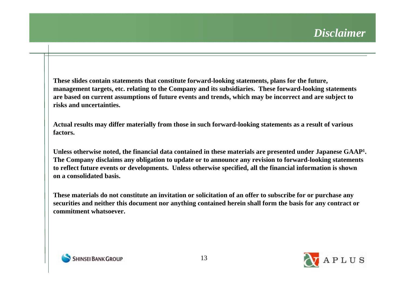**These slides contain statements that constitute forward-looking statements, plans for the future, management targets, etc. relating to the Company and its subsidiaries. These forward-looking statements are based on current assumptions of future events and trends, which may be incorrect and are subject to risks and uncertainties.**

**Actual results may differ materially from those in such forward-looking statements as a result of various factors.**

**Unless otherwise noted, the financial data contained in these materials are presented under Japanese GAAP1. The Company disclaims any obligation to update or to announce any revision to forward-looking statements to reflect future events or developments. Unless otherwise specified, all the financial information is shown on a consolidated basis.**

**These materials do not constitute an invitation or solicitation of an offer to subscribe for or purchase any securities and neither this document nor anything contained herein shall form the basis for any contract or commitment whatsoever.**